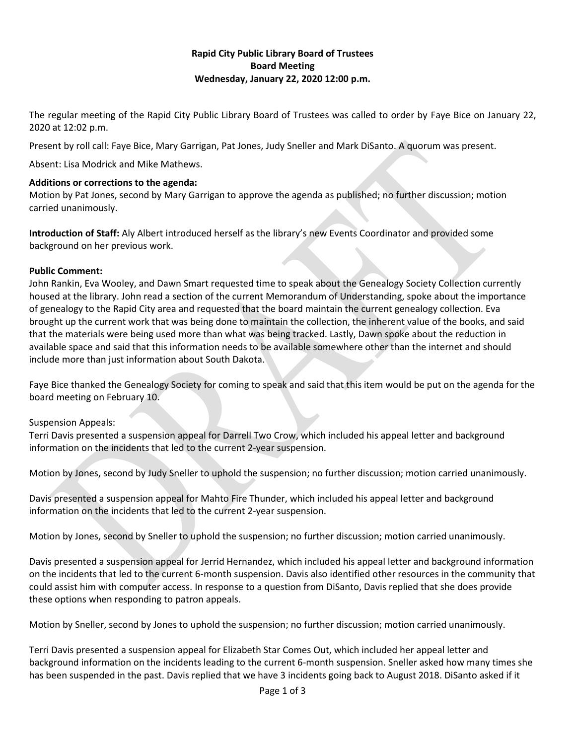## **Rapid City Public Library Board of Trustees Board Meeting Wednesday, January 22, 2020 12:00 p.m.**

The regular meeting of the Rapid City Public Library Board of Trustees was called to order by Faye Bice on January 22, 2020 at 12:02 p.m.

Present by roll call: Faye Bice, Mary Garrigan, Pat Jones, Judy Sneller and Mark DiSanto. A quorum was present.

Absent: Lisa Modrick and Mike Mathews.

#### **Additions or corrections to the agenda:**

Motion by Pat Jones, second by Mary Garrigan to approve the agenda as published; no further discussion; motion carried unanimously.

**Introduction of Staff:** Aly Albert introduced herself as the library's new Events Coordinator and provided some background on her previous work.

#### **Public Comment:**

John Rankin, Eva Wooley, and Dawn Smart requested time to speak about the Genealogy Society Collection currently housed at the library. John read a section of the current Memorandum of Understanding, spoke about the importance of genealogy to the Rapid City area and requested that the board maintain the current genealogy collection. Eva brought up the current work that was being done to maintain the collection, the inherent value of the books, and said that the materials were being used more than what was being tracked. Lastly, Dawn spoke about the reduction in available space and said that this information needs to be available somewhere other than the internet and should include more than just information about South Dakota.

Faye Bice thanked the Genealogy Society for coming to speak and said that this item would be put on the agenda for the board meeting on February 10.

#### Suspension Appeals:

Terri Davis presented a suspension appeal for Darrell Two Crow, which included his appeal letter and background information on the incidents that led to the current 2-year suspension.

Motion by Jones, second by Judy Sneller to uphold the suspension; no further discussion; motion carried unanimously.

Davis presented a suspension appeal for Mahto Fire Thunder, which included his appeal letter and background information on the incidents that led to the current 2-year suspension.

Motion by Jones, second by Sneller to uphold the suspension; no further discussion; motion carried unanimously.

Davis presented a suspension appeal for Jerrid Hernandez, which included his appeal letter and background information on the incidents that led to the current 6-month suspension. Davis also identified other resources in the community that could assist him with computer access. In response to a question from DiSanto, Davis replied that she does provide these options when responding to patron appeals.

Motion by Sneller, second by Jones to uphold the suspension; no further discussion; motion carried unanimously.

Terri Davis presented a suspension appeal for Elizabeth Star Comes Out, which included her appeal letter and background information on the incidents leading to the current 6-month suspension. Sneller asked how many times she has been suspended in the past. Davis replied that we have 3 incidents going back to August 2018. DiSanto asked if it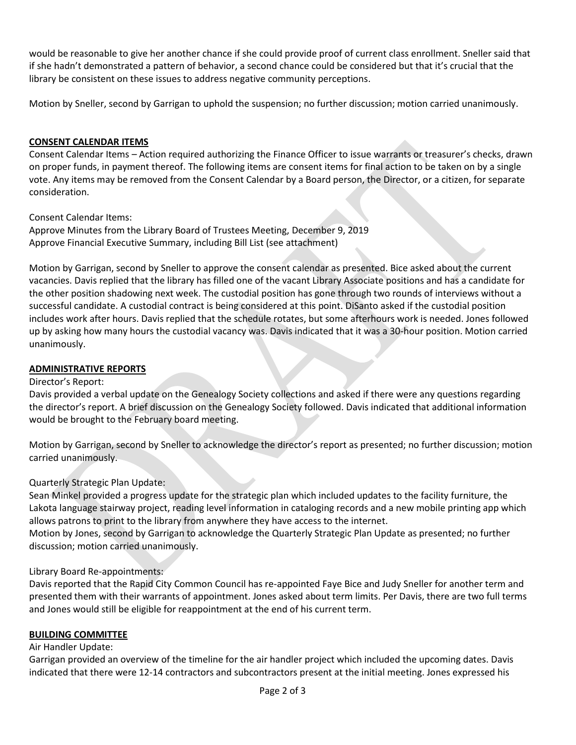would be reasonable to give her another chance if she could provide proof of current class enrollment. Sneller said that if she hadn't demonstrated a pattern of behavior, a second chance could be considered but that it's crucial that the library be consistent on these issues to address negative community perceptions.

Motion by Sneller, second by Garrigan to uphold the suspension; no further discussion; motion carried unanimously.

# **CONSENT CALENDAR ITEMS**

Consent Calendar Items – Action required authorizing the Finance Officer to issue warrants or treasurer's checks, drawn on proper funds, in payment thereof. The following items are consent items for final action to be taken on by a single vote. Any items may be removed from the Consent Calendar by a Board person, the Director, or a citizen, for separate consideration.

Consent Calendar Items:

Approve Minutes from the Library Board of Trustees Meeting, December 9, 2019 Approve Financial Executive Summary, including Bill List (see attachment)

Motion by Garrigan, second by Sneller to approve the consent calendar as presented. Bice asked about the current vacancies. Davis replied that the library has filled one of the vacant Library Associate positions and has a candidate for the other position shadowing next week. The custodial position has gone through two rounds of interviews without a successful candidate. A custodial contract is being considered at this point. DiSanto asked if the custodial position includes work after hours. Davis replied that the schedule rotates, but some afterhours work is needed. Jones followed up by asking how many hours the custodial vacancy was. Davis indicated that it was a 30-hour position. Motion carried unanimously.

## **ADMINISTRATIVE REPORTS**

#### Director's Report:

Davis provided a verbal update on the Genealogy Society collections and asked if there were any questions regarding the director's report. A brief discussion on the Genealogy Society followed. Davis indicated that additional information would be brought to the February board meeting.

Motion by Garrigan, second by Sneller to acknowledge the director's report as presented; no further discussion; motion carried unanimously.

## Quarterly Strategic Plan Update:

Sean Minkel provided a progress update for the strategic plan which included updates to the facility furniture, the Lakota language stairway project, reading level information in cataloging records and a new mobile printing app which allows patrons to print to the library from anywhere they have access to the internet.

Motion by Jones, second by Garrigan to acknowledge the Quarterly Strategic Plan Update as presented; no further discussion; motion carried unanimously.

## Library Board Re-appointments:

Davis reported that the Rapid City Common Council has re-appointed Faye Bice and Judy Sneller for another term and presented them with their warrants of appointment. Jones asked about term limits. Per Davis, there are two full terms and Jones would still be eligible for reappointment at the end of his current term.

## **BUILDING COMMITTEE**

## Air Handler Update:

Garrigan provided an overview of the timeline for the air handler project which included the upcoming dates. Davis indicated that there were 12-14 contractors and subcontractors present at the initial meeting. Jones expressed his